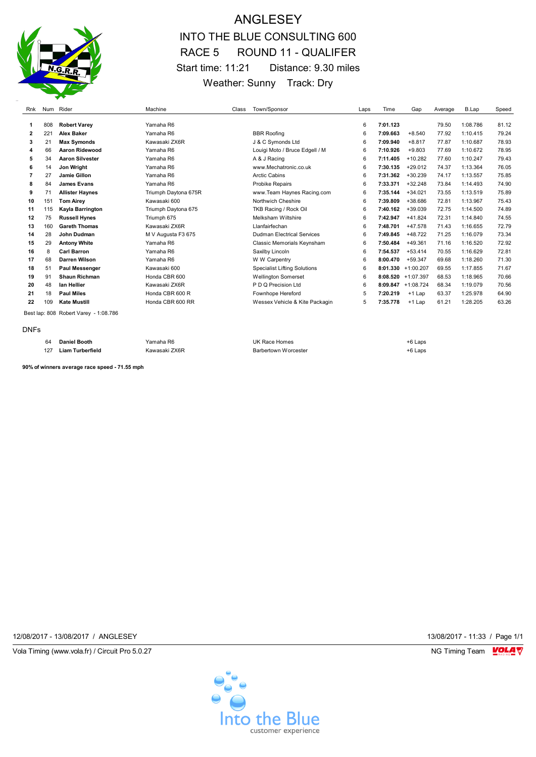

## ANGLESEY INTO THE BLUE CONSULTING 600 RACE 5 ROUND 11 - QUALIFER Start time: 11:21 Distance: 9.30 miles Weather: Sunny Track: Dry

| Rnk                                   |     | Num Rider              | Machine              | Class | Town/Sponsor                        | Laps | Time     | Gap         | Average | B.Lap    | Speed |
|---------------------------------------|-----|------------------------|----------------------|-------|-------------------------------------|------|----------|-------------|---------|----------|-------|
|                                       |     |                        |                      |       |                                     |      |          |             |         |          |       |
|                                       | 808 | <b>Robert Varey</b>    | Yamaha R6            |       |                                     | 6    | 7:01.123 |             | 79.50   | 1:08.786 | 81.12 |
| 2                                     | 221 | <b>Alex Baker</b>      | Yamaha R6            |       | <b>BBR Roofing</b>                  | 6    | 7:09.663 | $+8.540$    | 77.92   | 1:10.415 | 79.24 |
| 3                                     | 21  | <b>Max Symonds</b>     | Kawasaki ZX6R        |       | J & C Symonds Ltd                   | 6    | 7:09.940 | $+8.817$    | 77.87   | 1:10.687 | 78.93 |
| 4                                     | 66  | Aaron Ridewood         | Yamaha R6            |       | Louigi Moto / Bruce Edgell / M      | 6    | 7:10.926 | $+9.803$    | 77.69   | 1:10.672 | 78.95 |
| 5                                     | 34  | <b>Aaron Silvester</b> | Yamaha R6            |       | A & J Racing                        | 6    | 7:11.405 | $+10.282$   | 77.60   | 1:10.247 | 79.43 |
| 6                                     | 14  | Jon Wright             | Yamaha R6            |       | www.Mechatronic.co.uk               | 6    | 7:30.135 | $+29.012$   | 74.37   | 1:13.364 | 76.05 |
|                                       | 27  | Jamie Gillon           | Yamaha R6            |       | <b>Arctic Cabins</b>                | 6    | 7:31.362 | $+30.239$   | 74.17   | 1:13.557 | 75.85 |
| 8                                     | 84  | <b>James Evans</b>     | Yamaha R6            |       | Probike Repairs                     | 6    | 7:33.371 | $+32.248$   | 73.84   | 1:14.493 | 74.90 |
| 9                                     | 71  | <b>Allister Haynes</b> | Triumph Daytona 675R |       | www.Team Haynes Racing.com          | 6    | 7:35.144 | $+34.021$   | 73.55   | 1:13.519 | 75.89 |
| 10                                    | 151 | <b>Tom Airey</b>       | Kawasaki 600         |       | Northwich Cheshire                  | 6    | 7:39.809 | +38.686     | 72.81   | 1:13.967 | 75.43 |
| 11                                    | 115 | Kayla Barrington       | Triumph Daytona 675  |       | TKB Racing / Rock Oil               | 6    | 7:40.162 | $+39.039$   | 72.75   | 1:14.500 | 74.89 |
| 12                                    | 75  | <b>Russell Hynes</b>   | Triumph 675          |       | Melksham Wiltshire                  | 6    | 7:42.947 | $+41.824$   | 72.31   | 1:14.840 | 74.55 |
| 13                                    | 160 | <b>Gareth Thomas</b>   | Kawasaki ZX6R        |       | Llanfairfechan                      | 6    | 7:48.701 | $+47.578$   | 71.43   | 1:16.655 | 72.79 |
| 14                                    | 28  | John Dudman            | M V Augusta F3 675   |       | <b>Dudman Electrical Services</b>   | 6    | 7:49.845 | $+48.722$   | 71.25   | 1:16.079 | 73.34 |
| 15                                    | 29  | <b>Antony White</b>    | Yamaha R6            |       | Classic Memorials Keynsham          | 6    | 7:50.484 | $+49.361$   | 71.16   | 1:16.520 | 72.92 |
| 16                                    | 8   | <b>Carl Barron</b>     | Yamaha R6            |       | Saxilby Lincoln                     | 6    | 7:54.537 | $+53.414$   | 70.55   | 1:16.629 | 72.81 |
| 17                                    | 68  | Darren Wilson          | Yamaha R6            |       | W W Carpentry                       | 6    | 8:00.470 | $+59.347$   | 69.68   | 1:18.260 | 71.30 |
| 18                                    | 51  | Paul Messenger         | Kawasaki 600         |       | <b>Specialist Lifting Solutions</b> | 6    | 8:01.330 | $+1:00.207$ | 69.55   | 1:17.855 | 71.67 |
| 19                                    | 91  | <b>Shaun Richman</b>   | Honda CBR 600        |       | <b>Wellington Somerset</b>          | 6    | 8:08.520 | $+1:07.397$ | 68.53   | 1:18.965 | 70.66 |
| 20                                    | 48  | lan Hellier            | Kawasaki ZX6R        |       | P D Q Precision Ltd                 | 6    | 8:09.847 | $+1:08.724$ | 68.34   | 1:19.079 | 70.56 |
| 21                                    | 18  | <b>Paul Miles</b>      | Honda CBR 600 R      |       | Fownhope Hereford                   | 5    | 7:20.219 | $+1$ Lap    | 63.37   | 1:25.978 | 64.90 |
| 22                                    | 109 | <b>Kate Mustill</b>    | Honda CBR 600 RR     |       | Wessex Vehicle & Kite Packagin      | 5    | 7:35.778 | $+1$ Lap    | 61.21   | 1:28.205 | 63.26 |
| Best lap: 808 Robert Varey - 1:08.786 |     |                        |                      |       |                                     |      |          |             |         |          |       |

| DNF |
|-----|
|-----|

| 64  | Daniel Booth     | Yamaha R6     | UK Race Homes        | +6 Laps |
|-----|------------------|---------------|----------------------|---------|
| 127 | Liam Turberfield | Kawasaki ZX6R | Barbertown Worcester | +6 Laps |

**90% of winners average race speed - 71.55 mph**

12/08/2017 - 13/08/2017 / ANGLESEY 13/08/2017 - 11:33 / Page 1/1

Vola Timing (www.vola.fr) / Circuit Pro 5.0.27 **NG Timing Team** Vola Timing Team VOLA V

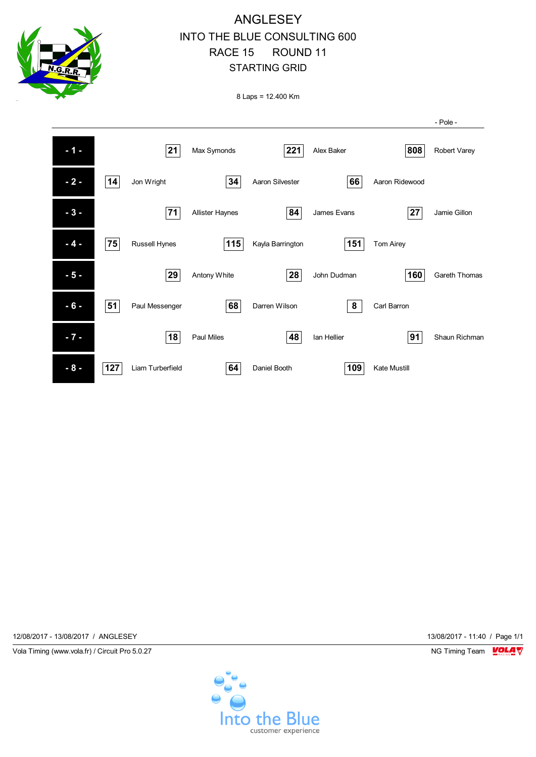

## ANGLESEY INTO THE BLUE CONSULTING 600 RACE 15 ROUND 11 STARTING GRID

8 Laps = 12.400 Km



12/08/2017 - 13/08/2017 / ANGLESEY 13/08/2017 - 11:40 / Page 1/1

Vola Timing (www.vola.fr) / Circuit Pro 5.0.27 NG Timing Team NG Timing Team NG Timing Team NG Timing Team NG

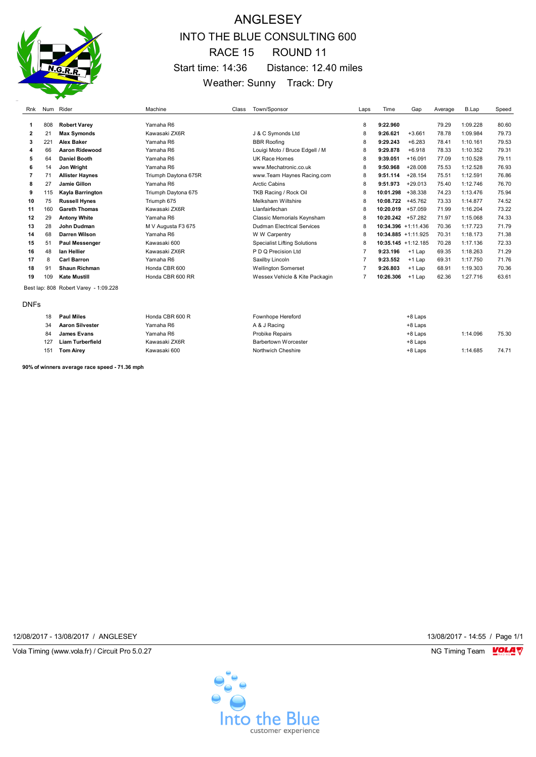

# ANGLESEY INTO THE BLUE CONSULTING 600 RACE 15 ROUND 11 Start time: 14:36 Distance: 12.40 miles Weather: Sunny Track: Dry

| Rnk         |                                       | Num Rider              | Machine              | Class | Town/Sponsor                        | Laps           | Time                   | Gap       | Average | B.Lap    | Speed |
|-------------|---------------------------------------|------------------------|----------------------|-------|-------------------------------------|----------------|------------------------|-----------|---------|----------|-------|
|             |                                       |                        |                      |       |                                     |                |                        |           |         |          |       |
| 1           | 808                                   | <b>Robert Varey</b>    | Yamaha R6            |       |                                     | 8              | 9:22.960               |           | 79.29   | 1:09.228 | 80.60 |
| 2           | 21                                    | <b>Max Symonds</b>     | Kawasaki ZX6R        |       | J & C Symonds Ltd                   | 8              | 9:26.621               | $+3.661$  | 78.78   | 1:09.984 | 79.73 |
| 3           | 221                                   | <b>Alex Baker</b>      | Yamaha R6            |       | <b>BBR Roofing</b>                  | 8              | 9:29.243               | $+6.283$  | 78.41   | 1:10.161 | 79.53 |
| 4           | 66                                    | Aaron Ridewood         | Yamaha R6            |       | Louigi Moto / Bruce Edgell / M      | 8              | 9:29.878               | $+6.918$  | 78.33   | 1:10.352 | 79.31 |
| 5           | 64                                    | <b>Daniel Booth</b>    | Yamaha R6            |       | UK Race Homes                       | 8              | 9:39.051               | $+16.091$ | 77.09   | 1:10.528 | 79.11 |
| 6           | 14                                    | Jon Wright             | Yamaha R6            |       | www.Mechatronic.co.uk               | 8              | 9:50.968               | $+28.008$ | 75.53   | 1:12.528 | 76.93 |
| 7           | 71                                    | <b>Allister Haynes</b> | Triumph Daytona 675R |       | www.Team Haynes Racing.com          | 8              | 9:51.114               | $+28.154$ | 75.51   | 1:12.591 | 76.86 |
| 8           | 27                                    | Jamie Gillon           | Yamaha R6            |       | <b>Arctic Cabins</b>                | 8              | 9:51.973               | $+29.013$ | 75.40   | 1:12.746 | 76.70 |
| 9           | 115                                   | Kayla Barrington       | Triumph Daytona 675  |       | TKB Racing / Rock Oil               | 8              | 10:01.298              | +38.338   | 74.23   | 1:13.476 | 75.94 |
| 10          | 75                                    | <b>Russell Hynes</b>   | Triumph 675          |       | Melksham Wiltshire                  | 8              | 10:08.722              | +45.762   | 73.33   | 1:14.877 | 74.52 |
| 11          | 160                                   | <b>Gareth Thomas</b>   | Kawasaki ZX6R        |       | Llanfairfechan                      | 8              | 10:20.019              | $+57.059$ | 71.99   | 1:16.204 | 73.22 |
| 12          | 29                                    | <b>Antony White</b>    | Yamaha R6            |       | Classic Memorials Keynsham          | 8              | 10:20.242              | $+57.282$ | 71.97   | 1:15.068 | 74.33 |
| 13          | 28                                    | John Dudman            | M V Augusta F3 675   |       | <b>Dudman Electrical Services</b>   | 8              | $10:34.396 + 1:11.436$ |           | 70.36   | 1:17.723 | 71.79 |
| 14          | 68                                    | <b>Darren Wilson</b>   | Yamaha R6            |       | W W Carpentry                       | 8              | $10:34.885 + 1:11.925$ |           | 70.31   | 1:18.173 | 71.38 |
| 15          | 51                                    | <b>Paul Messenger</b>  | Kawasaki 600         |       | <b>Specialist Lifting Solutions</b> | 8              | $10:35.145 + 1:12.185$ |           | 70.28   | 1:17.136 | 72.33 |
| 16          | 48                                    | lan Hellier            | Kawasaki ZX6R        |       | P D Q Precision Ltd                 | 7              | 9:23.196               | $+1$ Lap  | 69.35   | 1:18.263 | 71.29 |
| 17          | 8                                     | <b>Carl Barron</b>     | Yamaha R6            |       | Saxilby Lincoln                     | 7              | 9:23.552               | $+1$ Lap  | 69.31   | 1:17.750 | 71.76 |
| 18          | 91                                    | <b>Shaun Richman</b>   | Honda CBR 600        |       | <b>Wellington Somerset</b>          |                | 9:26.803               | $+1$ Lap  | 68.91   | 1:19.303 | 70.36 |
| 19          | 109                                   | <b>Kate Mustill</b>    | Honda CBR 600 RR     |       | Wessex Vehicle & Kite Packagin      | $\overline{7}$ | 10:26.306              | $+1$ Lap  | 62.36   | 1:27.716 | 63.61 |
|             | Best lap: 808 Robert Varey - 1:09.228 |                        |                      |       |                                     |                |                        |           |         |          |       |
| <b>DNFs</b> |                                       |                        |                      |       |                                     |                |                        |           |         |          |       |
|             | 18                                    | <b>Paul Miles</b>      | Honda CBR 600 R      |       | <b>Fownhope Hereford</b>            |                |                        | $+8$ Laps |         |          |       |

| 10  | Paul Miles             | <b>HUNG CDROUD R</b> | FOWILIODE FIELEIOI G   | +o ∟abs |          |       |
|-----|------------------------|----------------------|------------------------|---------|----------|-------|
| v-  | <b>Aaron Silvester</b> | Yamaha R6            | A & J Racing           | +8 Laps |          |       |
|     | James Evans            | Yamaha R6            | <b>Probike Repairs</b> | +8 Laps | 1:14.096 | 75.30 |
| 127 | Liam Turberfield       | Kawasaki ZX6R        | Barbertown Worcester   | +8 Laps |          |       |
| 15٬ | Tom Airey              | Kawasaki 600         | Northwich Cheshire     | +8 Laps | 1:14.685 | 74.71 |

**90% of winners average race speed - 71.36 mph**

12/08/2017 - 13/08/2017 / ANGLESEY 13/08/2017 - 14:55 / Page 1/1

Vola Timing (www.vola.fr) / Circuit Pro 5.0.27 NG Timing Team VOLA V

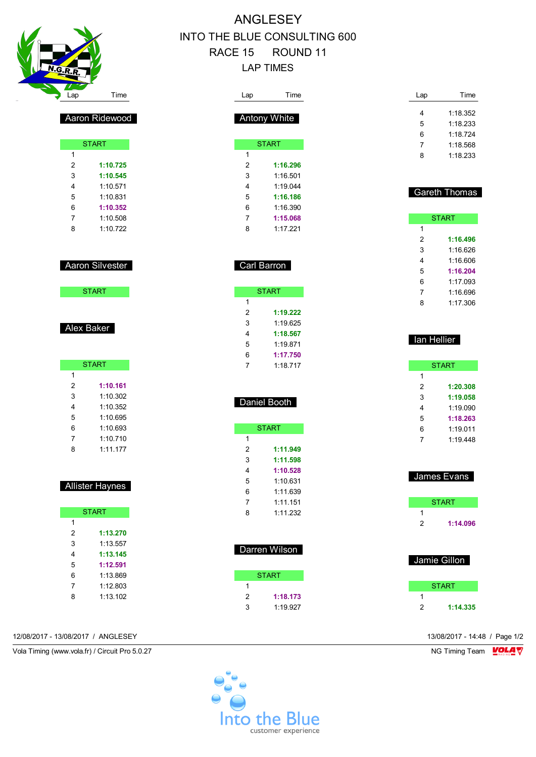

Aaron Ridewood

**START** 

 **1:10.725 1:10.545** 1:10.571 1:10.831 **1:10.352** 1:10.508 1:10.722

Aaron Silvester

**START** 

**START** 

 **1:10.161** 1:10.302 1:10.352 1:10.695 1:10.693 1:10.710 1:11.177

Allister Haynes

**START** 

 **1:13.270** 1:13.557 **1:13.145 1:12.591** 1:13.869 1:12.803 1:13.102

Alex Baker

# ANGLESEY INTO THE BLUE CONSULTING 600 RACE 15 ROUND 11 LAP TIMES

| Lap                       | Time          | Lap              | Time                 |
|---------------------------|---------------|------------------|----------------------|
|                           |               | 4                | 1:18.352             |
| Antony White              |               | 5                | 1:18.233             |
|                           |               | 6                | 1:18.724             |
| <b>START</b>              |               | $\overline{7}$   | 1:18.568             |
| 1                         |               | 8                | 1:18.233             |
| $\overline{2}$            | 1:16.296      |                  |                      |
| 3                         | 1:16.501      |                  |                      |
| $\overline{4}$            | 1:19.044      |                  |                      |
| 5                         | 1:16.186      |                  | <b>Gareth Thomas</b> |
| 6                         | 1:16.390      |                  |                      |
| $\overline{7}$            | 1:15.068      |                  | <b>START</b>         |
| 8                         | 1:17.221      | 1                |                      |
|                           |               | $\overline{2}$   | 1:16.496             |
|                           |               | 3                | 1:16.626             |
|                           |               | 4                | 1:16.606             |
| Carl Barron               |               | 5                | 1:16.204             |
|                           |               | 6                | 1:17.093             |
| <b>START</b>              |               | 7                | 1:16.696             |
| 1                         |               | 8                | 1:17.306             |
| $\overline{2}$            | 1:19.222      |                  |                      |
| 3                         | 1:19.625      |                  |                      |
| $\overline{\mathbf{4}}$   | 1:18.567      |                  |                      |
| $\sqrt{5}$                | 1:19.871      |                  | lan Hellier          |
| 6                         | 1:17.750      |                  |                      |
| $\overline{7}$            | 1:18.717      |                  | <b>START</b>         |
|                           |               | 1                |                      |
|                           |               | $\boldsymbol{2}$ | 1:20.308             |
|                           |               | 3                | 1:19.058             |
| Daniel Booth              |               | 4                | 1:19.090             |
|                           |               | 5                | 1:18.263             |
| <b>START</b>              |               | 6                | 1:19.011             |
| $\mathbf{1}$              |               | 7                | 1:19.448             |
| $\overline{2}$            | 1:11.949      |                  |                      |
| 3                         | 1:11.598      |                  |                      |
| 4                         | 1:10.528      |                  |                      |
| 5                         | 1:10.631      |                  | James Evans          |
| $6\phantom{1}6$           | 1:11.639      |                  |                      |
| $\boldsymbol{7}$          | 1:11.151      |                  | <b>START</b>         |
| 8                         | 1:11.232      | 1                |                      |
|                           |               | $\overline{c}$   | 1:14.096             |
|                           |               |                  |                      |
|                           |               |                  |                      |
|                           | Darren Wilson |                  |                      |
|                           |               |                  | Jamie Gillon         |
|                           | <b>START</b>  |                  |                      |
| 1                         |               |                  | <b>START</b>         |
| 2                         | 1:18.173      | 1                |                      |
| $\ensuremath{\mathsf{3}}$ | 1:19.927      | $\mathbf 2$      | 1:14.335             |
|                           |               |                  |                      |

12/08/2017 - 13/08/2017 / ANGLESEY 13/08/2017 - 14:48 / Page 1/2

Vola Timing (www.vola.fr) / Circuit Pro 5.0.27 NG Timing Team NG Timing Team NG Timing Team NG Timing Team NG

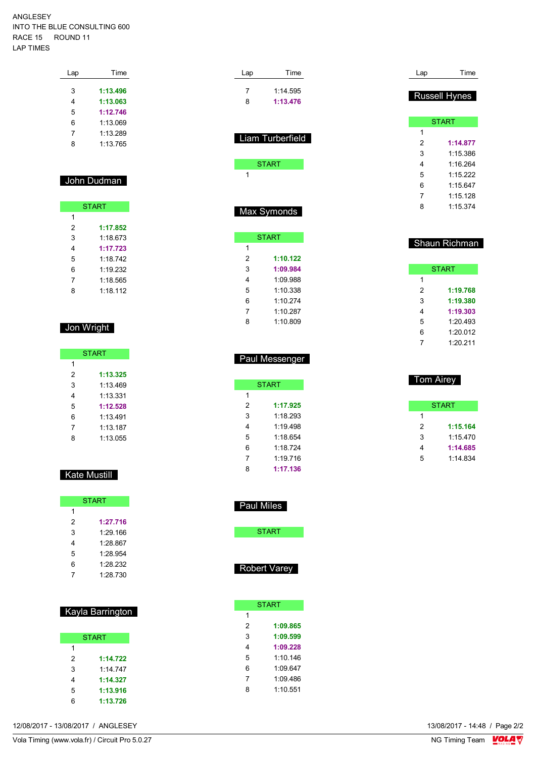#### ANGLESEY INTO THE BLUE CONSULTING 600 RACE 15 ROUND 11 LAP TIMES

| Lap | Time     |
|-----|----------|
|     |          |
| 3   | 1:13.496 |
| 4   | 1:13.063 |
| 5   | 1:12.746 |
| 6   | 1:13.069 |
| 7   | 1:13.289 |
| 8   | 1.13765  |
|     |          |

### John Dudman

| <b>START</b> |          |  |  |
|--------------|----------|--|--|
| 1            |          |  |  |
| 2            | 1:17.852 |  |  |
| 3            | 1.18673  |  |  |
| 4            | 1:17.723 |  |  |
| 5            | 1:18.742 |  |  |
| 6            | 1:19.232 |  |  |
| 7            | 1:18.565 |  |  |
| я            | 1.18112  |  |  |

## Jon Wright

| <b>START</b> |          |  |  |
|--------------|----------|--|--|
| 1            |          |  |  |
| 2            | 1:13.325 |  |  |
| 3            | 1.13469  |  |  |
| 4            | 1:13.331 |  |  |
| 5            | 1:12.528 |  |  |
| 6            | 1.13491  |  |  |
| 7            | 1:13.187 |  |  |
| 8            | 1:13.055 |  |  |

### Kate Mustill

|   | <b>START</b> |
|---|--------------|
| 1 |              |
| 2 | 1:27.716     |
| 3 | 1:29.166     |
| 4 | 1:28.867     |
| 5 | 1.28.954     |
| 6 | 1.28.232     |
|   | 1:28.730     |

#### Kayla Barrington

|   | <b>START</b> |
|---|--------------|
| 1 |              |
| 2 | 1:14.722     |
| 3 | 1.14747      |
| 4 | 1:14.327     |
| 5 | 1:13.916     |
| հ | 1:13.726     |

| Lap         | Time             |  |  |  |
|-------------|------------------|--|--|--|
| 7           | 1:14.595         |  |  |  |
| 8           | 1:13.476         |  |  |  |
|             |                  |  |  |  |
|             | Liam Turberfield |  |  |  |
|             |                  |  |  |  |
|             | <b>START</b>     |  |  |  |
| 1           |                  |  |  |  |
|             |                  |  |  |  |
|             |                  |  |  |  |
| Max Symonds |                  |  |  |  |

|   | <b>START</b> |
|---|--------------|
| 1 |              |
| 2 | 1:10.122     |
| 3 | 1:09.984     |
| 4 | 1.09.988     |
| 5 | 1:10.338     |
| 6 | 1.10274      |
| 7 | 1.10287      |
| ጸ | 1:10 809     |
|   |              |

|   | <b>START</b> |
|---|--------------|
| 1 |              |
| 2 | 1:17.925     |
| 3 | 1:18 293     |
| 4 | 1.19498      |
| 5 | 1.18654      |
| 6 | 1.18724      |
| 7 | 1:19.716     |
| 8 | 1:17.136     |

Paul Messenger

| Lap | Time                 |
|-----|----------------------|
|     | <b>Russell Hynes</b> |
|     | <b>START</b>         |
| 1   |                      |
| 2   | 1:14.877             |
| 3   | 1:15.386             |
| 4   | 1:16.264             |
| 5   | 1:15.222             |
| 6   | 1:15.647             |
| 7   | 1:15.128             |
| 8   | 1:15.374             |
|     |                      |
|     |                      |
|     | <b>Shaun Richman</b> |

|   | <b>START</b> |
|---|--------------|
| 1 |              |
| 2 | 1:19.768     |
| 3 | 1:19.380     |
| 4 | 1:19.303     |
| 5 | 1:20.493     |
| 6 | 1:20.012     |
|   | 1:20.211     |

|   | Tom Airey |
|---|-----------|
|   | START     |
| 1 |           |
| 2 | 1:15.164  |
| 3 | 1.15470   |
| 4 | 1:14.685  |
| 5 | 1:14.834  |
|   |           |

| Paul Miles |
|------------|
|------------|

| START |  |
|-------|--|
|       |  |

### Robert Varey

|   | <b>START</b> |
|---|--------------|
| 1 |              |
| 2 | 1:09.865     |
| 3 | 1:09.599     |
| 4 | 1:09.228     |
| 5 | 1.10146      |
| 6 | 1.09647      |
| 7 | 1:09 486     |
| 8 | 1.10.551     |
|   |              |

12/08/2017 - 13/08/2017 / ANGLESEY